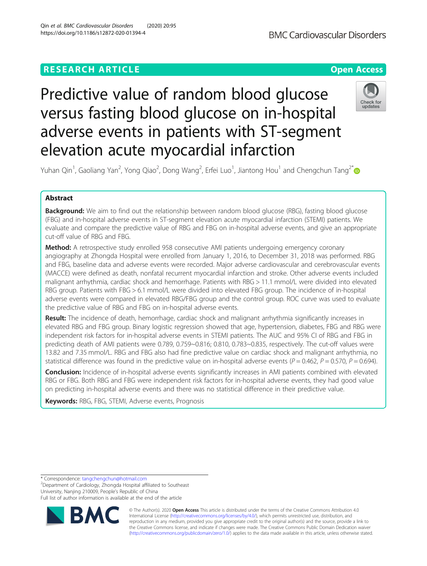## **RESEARCH ARTICLE Example 2014 12:30 The Contract of Contract ACCESS**

# Predictive value of random blood glucose versus fasting blood glucose on in-hospital adverse events in patients with ST-segment elevation acute myocardial infarction

Yuhan Qin<sup>1</sup>, Gaoliang Yan<sup>2</sup>, Yong Qiao<sup>2</sup>, Dong Wang<sup>2</sup>, Erfei Luo<sup>1</sup>, Jiantong Hou<sup>1</sup> and Chengchun Tang<sup>2\*</sup>

### Abstract

**Background:** We aim to find out the relationship between random blood glucose (RBG), fasting blood glucose (FBG) and in-hospital adverse events in ST-segment elevation acute myocardial infarction (STEMI) patients. We evaluate and compare the predictive value of RBG and FBG on in-hospital adverse events, and give an appropriate cut-off value of RBG and FBG.

Method: A retrospective study enrolled 958 consecutive AMI patients undergoing emergency coronary angiography at Zhongda Hospital were enrolled from January 1, 2016, to December 31, 2018 was performed. RBG and FBG, baseline data and adverse events were recorded. Major adverse cardiovascular and cerebrovascular events (MACCE) were defined as death, nonfatal recurrent myocardial infarction and stroke. Other adverse events included malignant arrhythmia, cardiac shock and hemorrhage. Patients with RBG > 11.1 mmol/L were divided into elevated RBG group. Patients with FBG > 6.1 mmol/L were divided into elevated FBG group. The incidence of in-hospital adverse events were compared in elevated RBG/FBG group and the control group. ROC curve was used to evaluate the predictive value of RBG and FBG on in-hospital adverse events.

Result: The incidence of death, hemorrhage, cardiac shock and malignant arrhythmia significantly increases in elevated RBG and FBG group. Binary logistic regression showed that age, hypertension, diabetes, FBG and RBG were independent risk factors for in-hospital adverse events in STEMI patients. The AUC and 95% CI of RBG and FBG in predicting death of AMI patients were 0.789, 0.759~0.816; 0.810, 0.783~0.835, respectively. The cut-off values were 13.82 and 7.35 mmol/L. RBG and FBG also had fine predictive value on cardiac shock and malignant arrhythmia, no statistical difference was found in the predictive value on in-hospital adverse events ( $P = 0.462$ ,  $P = 0.570$ ,  $P = 0.694$ ).

**Conclusion:** Incidence of in-hospital adverse events significantly increases in AMI patients combined with elevated RBG or FBG. Both RBG and FBG were independent risk factors for in-hospital adverse events, they had good value on predicting in-hospital adverse events and there was no statistical difference in their predictive value.

Keywords: RBG, FBG, STEMI, Adverse events, Prognosis

\* Correspondence: [tangchengchun@hotmail.com](mailto:tangchengchun@hotmail.com) <sup>2</sup>

Department of Cardiology, Zhongda Hospital affiliated to Southeast University, Nanjing 210009, People's Republic of China

Full list of author information is available at the end of the article



© The Author(s). 2020 **Open Access** This article is distributed under the terms of the Creative Commons Attribution 4.0 International License [\(http://creativecommons.org/licenses/by/4.0/](http://creativecommons.org/licenses/by/4.0/)), which permits unrestricted use, distribution, and reproduction in any medium, provided you give appropriate credit to the original author(s) and the source, provide a link to the Creative Commons license, and indicate if changes were made. The Creative Commons Public Domain Dedication waiver [\(http://creativecommons.org/publicdomain/zero/1.0/](http://creativecommons.org/publicdomain/zero/1.0/)) applies to the data made available in this article, unless otherwise stated.



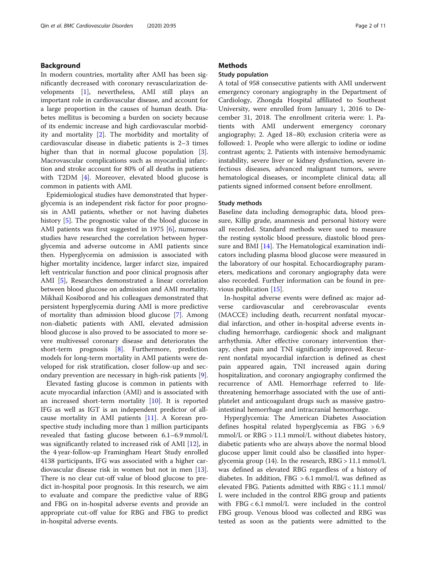#### Background

In modern countries, mortality after AMI has been significantly decreased with coronary revascularization developments [\[1](#page-9-0)], nevertheless, AMI still plays an important role in cardiovascular disease, and account for a large proportion in the causes of human death. Diabetes mellitus is becoming a burden on society because of its endemic increase and high cardiovascular morbidity and mortality [[2\]](#page-9-0). The morbidity and mortality of cardiovascular disease in diabetic patients is 2–3 times higher than that in normal glucose population [\[3](#page-9-0)]. Macrovascular complications such as myocardial infarction and stroke account for 80% of all deaths in patients with T2DM [[4\]](#page-9-0). Moreover, elevated blood glucose is common in patients with AMI.

Epidemiological studies have demonstrated that hyperglycemia is an independent risk factor for poor prognosis in AMI patients, whether or not having diabetes history [\[5](#page-9-0)]. The prognostic value of the blood glucose in AMI patients was first suggested in 1975 [\[6](#page-9-0)], numerous studies have researched the correlation between hyperglycemia and adverse outcome in AMI patients since then. Hyperglycemia on admission is associated with higher mortality incidence, larger infarct size, impaired left ventricular function and poor clinical prognosis after AMI [[5\]](#page-9-0), Researches demonstrated a linear correlation between blood glucose on admission and AMI mortality. Mikhail Kosiborod and his colleagues demonstrated that persistent hyperglycemia during AMI is more predictive of mortality than admission blood glucose [\[7](#page-9-0)]. Among non-diabetic patients with AMI, elevated admission blood glucose is also proved to be associated to more severe multivessel coronary disease and deteriorates the short-term prognosis [[8\]](#page-9-0). Furthermore, prediction models for long-term mortality in AMI patients were developed for risk stratification, closer follow-up and secondary prevention are necessary in high-risk patients [\[9](#page-9-0)].

Elevated fasting glucose is common in patients with acute myocardial infarction (AMI) and is associated with an increased short-term mortality [\[10](#page-9-0)]. It is reported IFG as well as IGT is an independent predictor of allcause mortality in AMI patients [\[11](#page-9-0)]. A Korean prospective study including more than 1 million participants revealed that fasting glucose between 6.1–6.9 mmol/L was significantly related to increased risk of AMI [\[12](#page-10-0)], in the 4 year-follow-up Framingham Heart Study enrolled 4138 participants, IFG was associated with a higher cardiovascular disease risk in women but not in men [\[13](#page-10-0)]. There is no clear cut-off value of blood glucose to predict in-hospital poor prognosis. In this research, we aim to evaluate and compare the predictive value of RBG and FBG on in-hospital adverse events and provide an appropriate cut-off value for RBG and FBG to predict in-hospital adverse events.

#### **Methods**

#### Study population

A total of 958 consecutive patients with AMI underwent emergency coronary angiography in the Department of Cardiology, Zhongda Hospital affiliated to Southeast University, were enrolled from January 1, 2016 to December 31, 2018. The enrollment criteria were: 1. Patients with AMI underwent emergency coronary angiography; 2. Aged 18–80; exclusion criteria were as followed: 1. People who were allergic to iodine or iodine contrast agents; 2. Patients with intensive hemodynamic instability, severe liver or kidney dysfunction, severe infectious diseases, advanced malignant tumors, severe hematological diseases, or incomplete clinical data; all patients signed informed consent before enrollment.

#### Study methods

Baseline data including demographic data, blood pressure, Killip grade, anamnesis and personal history were all recorded. Standard methods were used to measure the resting systolic blood pressure, diastolic blood pres-sure and BMI [[14\]](#page-10-0). The Hematological examination indicators including plasma blood glucose were measured in the laboratory of our hospital. Echocardiography parameters, medications and coronary angiography data were also recorded. Further information can be found in previous publication [[15\]](#page-10-0).

In-hospital adverse events were defined as: major adverse cardiovascular and cerebrovascular events (MACCE) including death, recurrent nonfatal myocardial infarction, and other in-hospital adverse events including hemorrhage, cardiogenic shock and malignant arrhythmia. After effective coronary intervention therapy, chest pain and TNI significantly improved. Recurrent nonfatal myocardial infarction is defined as chest pain appeared again, TNI increased again during hospitalization, and coronary angiography confirmed the recurrence of AMI. Hemorrhage referred to lifethreatening hemorrhage associated with the use of antiplatelet and anticoagulant drugs such as massive gastrointestinal hemorrhage and intracranial hemorrhage.

Hyperglycemia: The American Diabetes Association defines hospital related hyperglycemia as FBG > 6.9  $mmol/L$  or RBG  $> 11.1$  mmol/L without diabetes history, diabetic patients who are always above the normal blood glucose upper limit could also be classified into hyperglycemia group  $(14)$ . In the research, RBG > 11.1 mmol/L was defined as elevated RBG regardless of a history of diabetes. In addition, FBG  $> 6.1$  mmol/L was defined as elevated FBG. Patients admitted with RBG < 11.1 mmol/ L were included in the control RBG group and patients with FBG < 6.1 mmol/L were included in the control FBG group. Venous blood was collected and RBG was tested as soon as the patients were admitted to the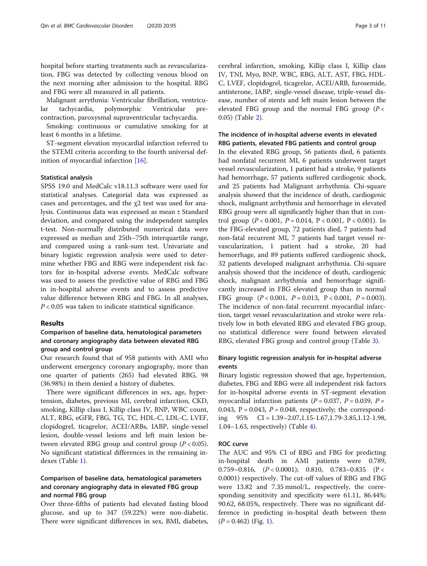hospital before starting treatments such as revascularization, FBG was detected by collecting venous blood on the next morning after admission to the hospital. RBG and FBG were all measured in all patients.

Malignant arrythmia: Ventricular fibrillation, ventricular tachycardia, polymorphic Ventricular precontraction, paroxysmal supraventricular tachycardia.

Smoking: continuous or cumulative smoking for at least 6 months in a lifetime.

ST-segment elevation myocardial infarction referred to the STEMI criteria according to the fourth universal definition of myocardial infarction [[16\]](#page-10-0).

#### Statistical analysis

SPSS 19.0 and MedCalc v18.11.3 software were used for statistical analyses. Categorial data was expressed as cases and percentages, and the χ2 test was used for analysis. Continuous data was expressed as mean ± Standard deviation, and compared using the independent samples t-test. Non-normally distributed numerical data were expressed as median and 25th–75th interquartile range, and compared using a rank-sum test. Univariate and binary logistic regression analysis were used to determine whether FBG and RBG were independent risk factors for in-hospital adverse events. MedCalc software was used to assess the predictive value of RBG and FBG in in-hospital adverse events and to assess predictive value difference between RBG and FBG. In all analyses,  $P < 0.05$  was taken to indicate statistical significance.

#### Results

#### Comparison of baseline data, hematological parameters and coronary angiography data between elevated RBG group and control group

Our research found that of 958 patients with AMI who underwent emergency coronary angiography, more than one quarter of patients (265) had elevated RBG, 98 (36.98%) in them denied a history of diabetes.

There were significant differences in sex, age, hypertension, diabetes, previous MI, cerebral infarction, CKD, smoking, Killip class I, Killip class IV, BNP, WBC count, ALT, RBG, eGFR, FBG, TG, TC, HDL-C, LDL-C, LVEF, clopidogrel, ticagrelor, ACEI/ARBs, IABP, single-vessel lesion, double-vessel lesions and left main lesion between elevated RBG group and control group  $(P < 0.05)$ . No significant statistical differences in the remaining indexes (Table [1](#page-3-0)).

#### Comparison of baseline data, hematological parameters and coronary angiography data in elevated FBG group and normal FBG group

Over three-fifths of patients had elevated fasting blood glucose, and up to 347 (59.22%) were non-diabetic. There were significant differences in sex, BMI, diabetes, cerebral infarction, smoking, Killip class I, Killip class IV, TNI, Myo, BNP, WBC, RBG, ALT, AST, FBG, HDL-C, LVEF, clopidogrel, ticagrelor, ACEI/ARB, furosemide, antisterone, IABP, single-vessel disease, triple-vessel disease, number of stents and left main lesion between the elevated FBG group and the normal FBG group  $(P <$ 0.05) (Table [2\)](#page-5-0).

#### The incidence of in-hospital adverse events in elevated RBG patients, elevated FBG patients and control group

In the elevated RBG group, 56 patients died, 6 patients had nonfatal recurrent MI, 6 patients underwent target vessel revascularization, 1 patient had a stroke, 9 patients had hemorrhage, 57 patients suffered cardiogenic shock, and 25 patients had Malignant arrhythmia. Chi-square analysis showed that the incidence of death, cardiogenic shock, malignant arrhythmia and hemorrhage in elevated RBG group were all significantly higher than that in control group  $(P < 0.001, P = 0.014, P < 0.001, P < 0.001)$ . In the FBG-elevated group, 72 patients died, 7 patients had non-fatal recurrent MI, 7 patients had target vessel revascularization, 1 patient had a stroke, 20 had hemorrhage, and 89 patients suffered cardiogenic shock, 32 patients developed malignant arrhythmia. Chi-square analysis showed that the incidence of death, cardiogenic shock, malignant arrhythmia and hemorrhage significantly increased in FBG elevated group than in normal FBG group  $(P < 0.001, P = 0.013, P < 0.001, P = 0.003)$ . The incidence of non-fatal recurrent myocardial infarction, target vessel revascularization and stroke were relatively low in both elevated RBG and elevated FBG group, no statistical difference were found between elevated RBG, elevated FBG group and control group (Table [3](#page-6-0)).

#### Binary logistic regression analysis for in-hospital adverse events

Binary logistic regression showed that age, hypertension, diabetes, FBG and RBG were all independent risk factors for in-hospital adverse events in ST-segment elevation myocardial infarction patients ( $P = 0.037$ ,  $P = 0.039$ ,  $P =$ 0.043,  $P = 0.043$ ,  $P = 0.048$ , respectively; the corresponding 95% CI = 1.39–2.07,1.15-1.67,1.79-3.85,1.12-1.98, 1.0[4](#page-7-0)–1.63, respectively) (Table  $4$ ).

#### ROC curve

The AUC and 95% CI of RBG and FBG for predicting in-hospital death in AMI patients were 0.789, 0.759~0.816,  $(P < 0.0001)$ ; 0.810, 0.783~0.835 (P < 0.0001) respectively. The cut-off values of RBG and FBG were 13.82 and 7.35 mmol/L, respectively, the corresponding sensitivity and specificity were 61.11, 86.44%; 90.62, 68.05%, respectively. There was no significant difference in predicting in-hospital death between them  $(P = 0.462)$  (Fig. [1](#page-7-0)).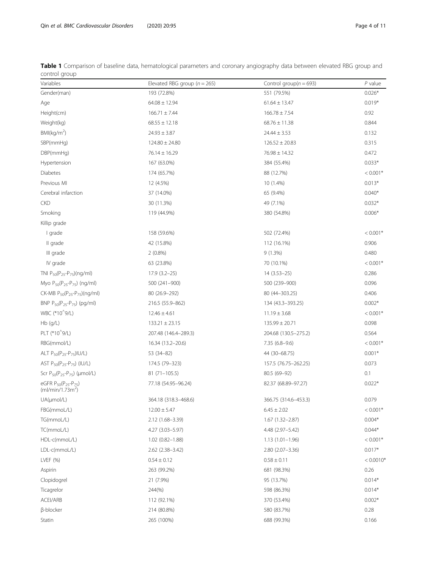<span id="page-3-0"></span>Table 1 Comparison of baseline data, hematological parameters and coronary angiography data between elevated RBG group and control group

| Variables                                                                                | Elevated RBG group ( $n = 265$ ) | Control group( $n = 693$ ) | $P$ value   |
|------------------------------------------------------------------------------------------|----------------------------------|----------------------------|-------------|
| Gender(man)                                                                              | 193 (72.8%)                      | 551 (79.5%)                | $0.026*$    |
| Age                                                                                      | $64.08 \pm 12.94$                | $61.64 \pm 13.47$          | $0.019*$    |
| Height(cm)                                                                               | $166.71 \pm 7.44$                | $166.78 \pm 7.54$          | 0.92        |
| Weight(kg)                                                                               | $68.55 \pm 12.18$                | $68.76 \pm 11.38$          | 0.844       |
| BMl(kg/m <sup>2</sup> )                                                                  | $24.93 \pm 3.87$                 | $24.44 \pm 3.53$           | 0.132       |
| SBP(mmHq)                                                                                | $124.80 \pm 24.80$               | $126.52 \pm 20.83$         | 0.315       |
| DBP(mmHq)                                                                                | $76.14 \pm 16.29$                | $76.98 \pm 14.32$          | 0.472       |
| Hypertension                                                                             | 167 (63.0%)                      | 384 (55.4%)                | $0.033*$    |
| Diabetes                                                                                 | 174 (65.7%)                      | 88 (12.7%)                 | $< 0.001*$  |
| Previous MI                                                                              | 12 (4.5%)                        | 10 (1.4%)                  | $0.013*$    |
| Cerebral infarction                                                                      | 37 (14.0%)                       | 65 (9.4%)                  | $0.040*$    |
| <b>CKD</b>                                                                               | 30 (11.3%)                       | 49 (7.1%)                  | $0.032*$    |
| Smoking                                                                                  | 119 (44.9%)                      | 380 (54.8%)                | $0.006*$    |
| Killip grade                                                                             |                                  |                            |             |
| I grade                                                                                  | 158 (59.6%)                      | 502 (72.4%)                | $< 0.001*$  |
| II grade                                                                                 | 42 (15.8%)                       | 112 (16.1%)                | 0.906       |
| III grade                                                                                | $2(0.8\%)$                       | 9(1.3%)                    | 0.480       |
| IV grade                                                                                 | 63 (23.8%)                       | 70 (10.1%)                 | $< 0.001*$  |
| TNI $P_{50}(P_{25}-P_{75})(ng/ml)$                                                       | $17.9(3.2 - 25)$                 | $14(3.53-25)$              | 0.286       |
| Myo $P_{50}(P_{25}-P_{75})$ (ng/ml)                                                      | 500 (241-900)                    | 500 (239-900)              | 0.096       |
| CK-MB $P_{50}(P_{25}-P_{75})(nq/ml)$                                                     | 80 (26.9-292)                    | 80 (44 - 303.25)           | 0.406       |
| BNP $P_{50}(P_{25}-P_{75})$ (pg/ml)                                                      | 216.5 (55.9-862)                 | 134 (43.3-393.25)          | $0.002*$    |
| WBC (*10 <sup>^</sup> 9/L)                                                               | $12.46 \pm 4.61$                 | $11.19 \pm 3.68$           | $< 0.001*$  |
| $Hb$ (g/L)                                                                               | $133.21 \pm 23.15$               | $135.99 \pm 20.71$         | 0.098       |
| PLT (*10 <sup>^</sup> 9/L)                                                               | 207.48 (146.4-289.3)             | 204.68 (130.5-275.2)       | 0.564       |
| RBG(mmol/L)                                                                              | 16.34 (13.2-20.6)                | $7.35(6.8-9.6)$            | $< 0.001*$  |
| ALT P <sub>50</sub> (P <sub>25</sub> -P <sub>75</sub> )IU/L)                             | 53 (34-82)                       | 44 (30-68.75)              | $0.001*$    |
| AST $P_{50}(P_{25}-P_{75})$ (IU/L)                                                       | 174.5 (79-323)                   | 157.5 (76.75-262.25)       | 0.073       |
| Scr P <sub>50</sub> (P <sub>25</sub> -P <sub>75</sub> ) (µmol/L)                         | $81(71-105.5)$                   | 80.5 (69-92)               | 0.1         |
| eGFR P <sub>50</sub> (P <sub>25</sub> -P <sub>75</sub> )<br>(mI/min/1.73m <sup>2</sup> ) | 77.18 (54.95-96.24)              | 82.37 (68.89-97.27)        | $0.022*$    |
| UA(µmol/L)                                                                               | 364.18 (318.3-468.6)             | 366.75 (314.6-453.3)       | 0.079       |
| FBG(mmoL/L)                                                                              | $12.00 \pm 5.47$                 | $6.45 \pm 2.02$            | $< 0.001*$  |
| TG(mmoL/L)                                                                               | 2.12 (1.68-3.39)                 | 1.67 (1.32-2.87)           | $0.004*$    |
| TC(mmoL/L)                                                                               | 4.27 (3.03-5.97)                 | 4.48 (2.97-5.42)           | $0.044*$    |
| HDL-c(mmoL/L)                                                                            | $1.02$ (0.82-1.88)               | $1.13(1.01 - 1.96)$        | $< 0.001*$  |
| LDL-c(mmoL/L)                                                                            | 2.62 (2.38-3.42)                 | $2.80(2.07 - 3.36)$        | $0.017*$    |
| LVEF (%)                                                                                 | $0.54 \pm 0.12$                  | $0.58 \pm 0.11$            | $< 0.0010*$ |
| Aspirin                                                                                  | 263 (99.2%)                      | 681 (98.3%)                | 0.26        |
| Clopidogrel                                                                              | 21 (7.9%)                        | 95 (13.7%)                 | $0.014*$    |
| Ticagrelor                                                                               | 244(%)                           | 598 (86.3%)                | $0.014*$    |
| ACEI/ARB                                                                                 | 112 (92.1%)                      | 370 (53.4%)                | $0.002*$    |
| β-blocker                                                                                | 214 (80.8%)                      | 580 (83.7%)                | 0.28        |
| Statin                                                                                   | 265 (100%)                       | 688 (99.3%)                | 0.166       |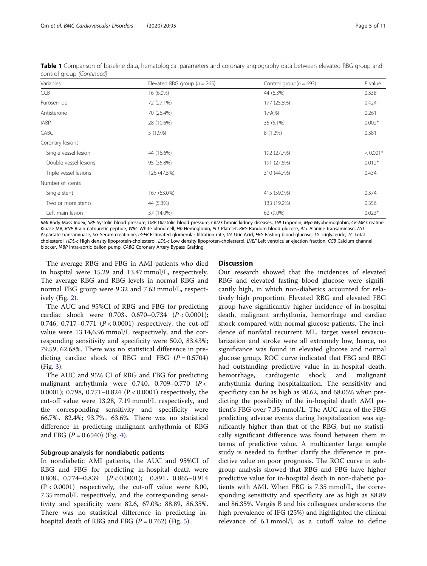| Variables             | Elevated RBG group ( $n = 265$ ) | Control group( $n = 693$ ) | $P$ value  |
|-----------------------|----------------------------------|----------------------------|------------|
| <b>CCB</b>            | 16 (6.0%)                        | 44 (6.3%)                  | 0.338      |
| Furosemide            | 72 (27.1%)                       | 177 (25.8%)                | 0.424      |
| Antisterone           | 70 (26.4%)                       | 179(%)                     | 0.261      |
| <b>IABP</b>           | 28 (10.6%)                       | 35 (5.1%)                  | $0.002*$   |
| CABG                  | $5(1.9\%)$                       | 8 (1.2%)                   | 0.381      |
| Coronary lesions      |                                  |                            |            |
| Single vessel lesion  | 44 (16.6%)                       | 192 (27.7%)                | $< 0.001*$ |
| Double vessel lesions | 95 (35.8%)                       | 191 (27.6%)                | $0.012*$   |
| Triple vessel lesions | 126 (47.5%)                      | 310 (44.7%)                | 0.434      |
| Number of stents      |                                  |                            |            |
| Single stent          | 167 (63.0%)                      | 415 (59.9%)                | 0.374      |
| Two or more stents    | 44 (5.3%)                        | 133 (19.2%)                | 0.356      |
| Left main lesion      | 37 (14.0%)                       | 62 (9.0%)                  | $0.023*$   |

Table 1 Comparison of baseline data, hematological parameters and coronary angiography data between elevated RBG group and control group (Continued)

BMI Body Mass Index, SBP Systolic blood pressure, DBP Diastolic blood pressure, CKD Chronic kidney diseases, TNI Troponin, Myo Myohemoglobin, CK-MB Creatine Kinase-MB, BNP Brain natriuretic peptide, WBC White blood cell, Hb Hemoglobin, PLT Platelet, RBG Random blood glucose, ALT Alanine transaminase, AST Aspartate transaminase, Scr Serum creatinine, eGFR Estimated glomerular filtration rate, UA Uric Acid, FBG Fasting blood glucose, TG Triglyceride, TC Total cholesterol, HDL-c High density lipoprotein-cholesterol, LDL-c Low density lipoproten-cholesterol, LVEF Left ventricular ejection fraction, CCB Calcium channel blocker, IABP Intra-aortic ballon pump, CABG Coronary Artery Bypass Grafting

The average RBG and FBG in AMI patients who died in hospital were 15.29 and 13.47 mmol/L, respectively. The average RBG and RBG levels in normal RBG and normal FBG group were 9.32 and 7.63 mmol/L, respectively (Fig. [2\)](#page-8-0).

The AUC and 95%CI of RBG and FBG for predicting cardiac shock were 0.703、0.670–0.734 (P < 0.0001); 0.746, 0.717–0.771 ( $P < 0.0001$ ) respectively, the cut-off value were 13.14,6.96 mmol/L respectively, and the corresponding sensitivity and specificity were 50.0, 83.43%; 79.59, 62.68%. There was no statistical difference in predicting cardiac shock of RBG and FBG  $(P = 0.5704)$ (Fig. [3](#page-8-0)).

The AUC and 95% CI of RBG and FBG for predicting malignant arrhythmia were 0.740, 0.709-0.770 ( $P <$ 0.0001); 0.798, 0.771–0.824 (P < 0.0001) respectively, the cut-off value were 13.28, 7.19 mmol/L respectively, and the corresponding sensitivity and specificity were 66.7%、82.4%; 93.7%、63.6%. There was no statistical difference in predicting malignant arrhythmia of RBG and FBG  $(P = 0.6540)$  $(P = 0.6540)$  $(P = 0.6540)$  (Fig. 4).

#### Subgroup analysis for nondiabetic patients

In nondiabetic AMI patients, the AUC and 95%CI of RBG and FBG for predicting in-hospital death were 0.808, 0.774–0.839  $(P < 0.0001)$ ; 0.891, 0.865–0.914 (P < 0.0001) respectively, the cut-off value were 8.00, 7.35 mmol/L respectively, and the corresponding sensitivity and specificity were 82.6, 67.0%; 88.89, 86.35%. There was no statistical difference in predicting inhospital death of RBG and FBG  $(P = 0.762)$  (Fig. [5](#page-9-0)).

#### **Discussion**

Our research showed that the incidences of elevated RBG and elevated fasting blood glucose were significantly high, in which non-diabetics accounted for relatively high proportion. Elevated RBG and elevated FBG group have significantly higher incidence of in-hospital death, malignant arrhythmia, hemorrhage and cardiac shock compared with normal glucose patients. The incidence of nonfatal recurrent MI、target vessel revascularization and stroke were all extremely low, hence, no significance was found in elevated glucose and normal glucose group. ROC curve indicated that FBG and RBG had outstanding predictive value in in-hospital death, hemorrhage, cardiogenic shock and malignant arrhythmia during hospitalization. The sensitivity and specificity can be as high as 90.62, and 68.05% when predicting the possibility of the in-hospital death AMI patient's FBG over 7.35 mmol/L. The AUC area of the FBG predicting adverse events during hospitalization was significantly higher than that of the RBG, but no statistically significant difference was found between them in terms of predictive value. A multicenter large sample study is needed to further clarify the difference in predictive value on poor prognosis. The ROC curve in subgroup analysis showed that RBG and FBG have higher predictive value for in-hospital death in non-diabetic patients with AMI. When FBG is 7.35 mmol/L, the corresponding sensitivity and specificity are as high as 88.89 and 86.35%. Vergès B and his colleagues underscores the high prevalence of IFG (25%) and highlighted the clinical relevance of 6.1 mmol/l, as a cutoff value to define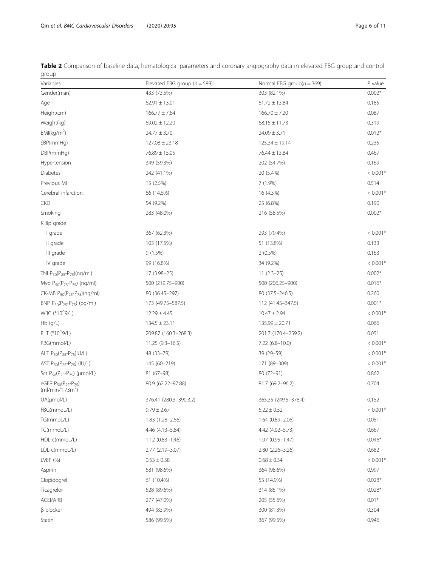<span id="page-5-0"></span>Table 2 Comparison of baseline data, hematological parameters and coronary angiography data in elevated FBG group and control group

| Variables                                                                                | Elevated FBG group ( $n = 589$ ) | Normal FBG group( $n = 369$ ) | $P$ value  |
|------------------------------------------------------------------------------------------|----------------------------------|-------------------------------|------------|
| Gender(man)                                                                              | 433 (73.5%)                      | 303 (82.1%)                   | $0.002*$   |
| Age                                                                                      | $62.91 \pm 13.01$                | $61.72 \pm 13.84$             | 0.185      |
| Height(cm)                                                                               | $166.77 \pm 7.64$                | $166.70 \pm 7.20$             | 0.087      |
| Weight(kg)                                                                               | $69.02 \pm 12.20$                | $68.15 \pm 11.73$             | 0.319      |
| BMl(kg/m <sup>2</sup> )                                                                  | $24.77 \pm 3.70$                 | $24.09 \pm 3.71$              | $0.012*$   |
| SBP(mmHq)                                                                                | $127.08 \pm 23.18$               | $125.34 \pm 19.14$            | 0.235      |
| DBP(mmHq)                                                                                | $76.89 \pm 15.05$                | 76.44 ± 13.84                 | 0.467      |
| Hypertension                                                                             | 349 (59.3%)                      | 202 (54.7%)                   | 0.169      |
| Diabetes                                                                                 | 242 (41.1%)                      | 20 (5.4%)                     | $< 0.001*$ |
| Previous MI                                                                              | 15 (2.5%)                        | $7(1.9\%)$                    | 0.514      |
| Cerebral infarction,                                                                     | 86 (14.6%)                       | 16 (4.3%)                     | $< 0.001*$ |
| <b>CKD</b>                                                                               | 54 (9.2%)                        | 25 (6.8%)                     | 0.190      |
| Smoking                                                                                  | 283 (48.0%)                      | 216 (58.5%)                   | $0.002*$   |
| Killip grade                                                                             |                                  |                               |            |
| I grade                                                                                  | 367 (62.3%)                      | 293 (79.4%)                   | $< 0.001*$ |
| II grade                                                                                 | 103 (17.5%)                      | 51 (13.8%)                    | 0.133      |
| III grade                                                                                | 9(1.5%)                          | $2(0.5\%)$                    | 0.163      |
| IV grade                                                                                 | 99 (16.8%)                       | 34 (9.2%)                     | $< 0.001*$ |
| TNI $P_{50}(P_{25}-P_{75})(ng/ml)$                                                       | $17(3.98-25)$                    | $11(2.3-25)$                  | $0.002*$   |
| Myo $P_{50}(P_{25}-P_{75})$ (ng/ml)                                                      | 500 (219.75-900)                 | 500 (206.25-900)              | $0.016*$   |
| CK-MB $P_{50}(P_{25}-P_{75})(nq/ml)$                                                     | 80 (36.45-297)                   | 80 (37.5 - 246.5)             | 0.260      |
| BNP $P_{50}(P_{25}-P_{75})$ (pg/ml)                                                      | 173 (49.75 - 587.5)              | 112 (41.45–347.5)             | $0.001*$   |
| WBC (*10 <sup>^</sup> 9/L)                                                               | $12.29 \pm 4.45$                 | $10.47 \pm 2.94$              | $< 0.001*$ |
| $Hb$ (g/L)                                                                               | $134.5 \pm 23.11$                | $135.99 \pm 20.71$            | 0.066      |
| PLT (*10 <sup>^</sup> 9/L)                                                               | 209.87 (160.3-268.3)             | 201.7 (170.4-259.2)           | 0.051      |
| RBG(mmol/L)                                                                              | 11.25 (9.3-16.5)                 | $7.22(6.8-10.0)$              | $< 0.001*$ |
| ALT P <sub>50</sub> (P <sub>25</sub> -P <sub>75</sub> )IU/L)                             | 48 (33-79)                       | 39 (29-59)                    | $< 0.001*$ |
| AST P <sub>50</sub> (P <sub>25</sub> -P <sub>75</sub> ) (IU/L)                           | 145 (60-219)                     | 171 (89-309)                  | $< 0.001*$ |
| Scr $P_{50}(P_{25}-P_{75})$ (µmol/L)                                                     | $81(67-98)$                      | 80 (72-91)                    | 0.862      |
| eGFR P <sub>50</sub> (P <sub>25</sub> -P <sub>75</sub> )<br>(ml/min/1.73m <sup>2</sup> ) | 80.9 (62.22-97.88)               | 81.7 (69.2-96.2)              | 0.704      |
| UA(µmol/L)                                                                               | 376.41 (280.3–390.3.2)           | 365.35 (249.5–378.4)          | 0.152      |
| FBG(mmoL/L)                                                                              | $9.79 \pm 2.67$                  | $5.22 \pm 0.52$               | $< 0.001*$ |
| TG(mmoL/L)                                                                               | 1.83 (1.28-2.56)                 | 1.64 (0.89-2.06)              | 0.051      |
| TC(mmoL/L)                                                                               | 4.46 (4.13-5.84)                 | 4.42 (4.02-5.73)              | 0.667      |
| HDL-c(mmoL/L)                                                                            | $1.12(0.83 - 1.46)$              | $1.07(0.95 - 1.47)$           | $0.046*$   |
| LDL-c(mmoL/L)                                                                            | 2.77 (2.19 - 3.07)               | $2.80(2.26 - 3.26)$           | 0.682      |
| LVEF (%)                                                                                 | $0.53 \pm 0.38$                  | $0.68 \pm 0.34$               | $< 0.001*$ |
| Aspirin                                                                                  | 581 (98.6%)                      | 364 (98.6%)                   | 0.997      |
| Clopidogrel                                                                              | 61 (10.4%)                       | 55 (14.9%)                    | $0.028*$   |
| Ticagrelor                                                                               | 528 (89.6%)                      | 314 (85.1%)                   | $0.028*$   |
| ACEI/ARB                                                                                 | 277 (47.0%)                      | 205 (55.6%)                   | $0.01*$    |
| β-blocker                                                                                | 494 (83.9%)                      | 300 (81.3%)                   | 0.304      |
| Statin                                                                                   | 586 (99.5%)                      | 367 (99.5%)                   | 0.946      |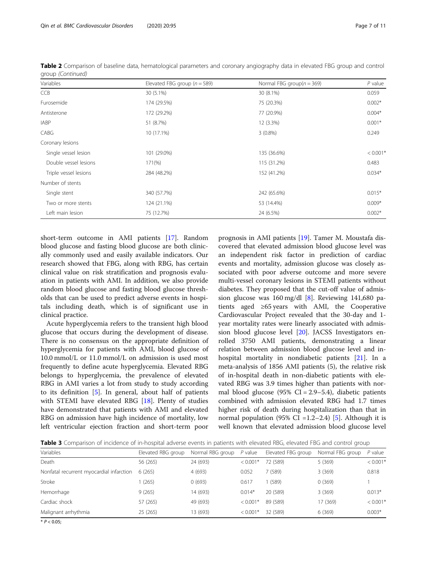| Variables             | Elevated FBG group ( $n = 589$ ) | Normal FBG group( $n = 369$ ) | $P$ value  |
|-----------------------|----------------------------------|-------------------------------|------------|
| <b>CCB</b>            | 30 (5.1%)                        | 30 (8.1%)                     | 0.059      |
| Furosemide            | 174 (29.5%)                      | 75 (20.3%)                    | $0.002*$   |
| Antisterone           | 172 (29.2%)                      | 77 (20.9%)                    | $0.004*$   |
| <b>IABP</b>           | 51 (8.7%)                        | 12 (3.3%)                     | $0.001*$   |
| CABG                  | 10 (17.1%)                       | $3(0.8\%)$                    | 0.249      |
| Coronary lesions      |                                  |                               |            |
| Single vessel lesion  | 101 (29.0%)                      | 135 (36.6%)                   | $< 0.001*$ |
| Double vessel lesions | 171(%)                           | 115 (31.2%)                   | 0.483      |
| Triple vessel lesions | 284 (48.2%)                      | 152 (41.2%)                   | $0.034*$   |
| Number of stents      |                                  |                               |            |
| Single stent          | 340 (57.7%)                      | 242 (65.6%)                   | $0.015*$   |
| Two or more stents    | 124 (21.1%)                      | 53 (14.4%)                    | $0.009*$   |
| Left main lesion      | 75 (12.7%)                       | 24 (6.5%)                     | $0.002*$   |

<span id="page-6-0"></span>Table 2 Comparison of baseline data, hematological parameters and coronary angiography data in elevated FBG group and control group (Continued)

short-term outcome in AMI patients [\[17\]](#page-10-0). Random blood glucose and fasting blood glucose are both clinically commonly used and easily available indicators. Our research showed that FBG, along with RBG, has certain clinical value on risk stratification and prognosis evaluation in patients with AMI. In addition, we also provide random blood glucose and fasting blood glucose thresholds that can be used to predict adverse events in hospitals including death, which is of significant use in clinical practice.

Acute hyperglycemia refers to the transient high blood glucose that occurs during the development of disease. There is no consensus on the appropriate definition of hyperglycemia for patients with AMI, blood glucose of 10.0 mmol/L or 11.0 mmol/L on admission is used most frequently to define acute hyperglycemia. Elevated RBG belongs to hyperglycemia, the prevalence of elevated RBG in AMI varies a lot from study to study according to its definition [[5\]](#page-9-0). In general, about half of patients with STEMI have elevated RBG [\[18](#page-10-0)]. Plenty of studies have demonstrated that patients with AMI and elevated RBG on admission have high incidence of mortality, low left ventricular ejection fraction and short-term poor

prognosis in AMI patients [\[19\]](#page-10-0). Tamer M. Moustafa discovered that elevated admission blood glucose level was an independent risk factor in prediction of cardiac events and mortality, admission glucose was closely associated with poor adverse outcome and more severe multi-vessel coronary lesions in STEMI patients without diabetes. They proposed that the cut-off value of admission glucose was  $160 \text{ mg/dl}$  [[8\]](#page-9-0). Reviewing 141,680 patients aged ≥65 years with AMI, the Cooperative Cardiovascular Project revealed that the 30-day and 1 year mortality rates were linearly associated with admission blood glucose level [\[20](#page-10-0)]. JACSS Investigators enrolled 3750 AMI patients, demonstrating a linear relation between admission blood glucose level and inhospital mortality in nondiabetic patients [\[21](#page-10-0)]. In a meta-analysis of 1856 AMI patients (5), the relative risk of in-hospital death in non-diabetic patients with elevated RBG was 3.9 times higher than patients with normal blood glucose  $(95\% \text{ CI} = 2.9 - 5.4)$ , diabetic patients combined with admission elevated RBG had 1.7 times higher risk of death during hospitalization than that in normal population (95% CI =  $1.2-2.4$ ) [\[5](#page-9-0)]. Although it is well known that elevated admission blood glucose level

Table 3 Comparison of incidence of in-hospital adverse events in patients with elevated RBG, elevated FBG and control group

| Variables                                | Elevated RBG group | Normal RBG group | $P$ value  | Elevated FBG group | Normal FBG group | $P$ value  |
|------------------------------------------|--------------------|------------------|------------|--------------------|------------------|------------|
| Death                                    | 56 (265)           | 24 (693)         | $< 0.001*$ | 72 (589)           | 5(369)           | $< 0.001*$ |
| Nonfatal recurrent myocardial infarction | 6(265)             | 4(693)           | 0.052      | 7(589)             | 3(369)           | 0.818      |
| Stroke                                   | (265)              | 0(693)           | 0.617      | (589)              | 0(369)           |            |
| Hemorrhage                               | 9(265)             | 14 (693)         | $0.014*$   | 20 (589)           | 3(369)           | $0.013*$   |
| Cardiac shock                            | 57 (265)           | 49 (693)         | $< 0.001*$ | 89 (589)           | 17 (369)         | $< 0.001*$ |
| Malignant arrhythmia                     | 25 (265)           | 13 (693)         | $< 0.001*$ | 32 (589)           | 6(369)           | $0.003*$   |
|                                          |                    |                  |            |                    |                  |            |

 $*$  P < 0.05: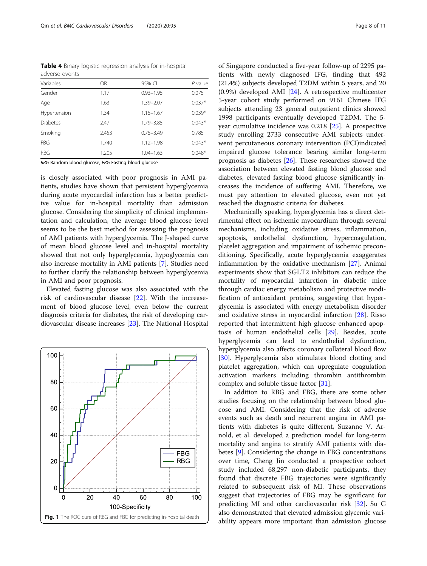<span id="page-7-0"></span>Table 4 Binary logistic regression analysis for in-hospital adverse events

| Variables       | OR    | 95% CI        | P value  |
|-----------------|-------|---------------|----------|
| Gender          | 1.17  | $0.93 - 1.95$ | 0.075    |
| Age             | 1.63  | $1.39 - 2.07$ | $0.037*$ |
| Hypertension    | 1.34  | $1.15 - 1.67$ | $0.039*$ |
| <b>Diabetes</b> | 2.47  | 1.79 - 3.85   | $0.043*$ |
| Smoking         | 2.453 | $0.75 - 3.49$ | 0.785    |
| FBG             | 1.740 | $1.12 - 1.98$ | $0.043*$ |
| <b>RBG</b>      | 1.205 | $1.04 - 1.63$ | $0.048*$ |

RBG Random blood glucose, FBG Fasting blood glucose

is closely associated with poor prognosis in AMI patients, studies have shown that persistent hyperglycemia during acute myocardial infarction has a better predictive value for in-hospital mortality than admission glucose. Considering the simplicity of clinical implementation and calculation, the average blood glucose level seems to be the best method for assessing the prognosis of AMI patients with hyperglycemia. The J-shaped curve of mean blood glucose level and in-hospital mortality showed that not only hyperglycemia, hypoglycemia can also increase mortality in AMI patients [[7\]](#page-9-0). Studies need to further clarify the relationship between hyperglycemia in AMI and poor prognosis.

Elevated fasting glucose was also associated with the risk of cardiovascular disease [[22\]](#page-10-0). With the increasement of blood glucose level, even below the current diagnosis criteria for diabetes, the risk of developing cardiovascular disease increases [\[23](#page-10-0)]. The National Hospital



of Singapore conducted a five-year follow-up of 2295 patients with newly diagnosed IFG, finding that 492 (21.4%) subjects developed T2DM within 5 years, and 20 (0.9%) developed AMI [\[24\]](#page-10-0). A retrospective multicenter 5-year cohort study performed on 9161 Chinese IFG subjects attending 23 general outpatient clinics showed 1998 participants eventually developed T2DM. The 5 year cumulative incidence was 0.218 [[25\]](#page-10-0). A prospective study enrolling 2733 consecutive AMI subjects underwent percutaneous coronary intervention (PCI)indicated impaired glucose tolerance bearing similar long-term prognosis as diabetes [\[26\]](#page-10-0). These researches showed the association between elevated fasting blood glucose and diabetes, elevated fasting blood glucose significantly increases the incidence of suffering AMI. Therefore, we must pay attention to elevated glucose, even not yet reached the diagnostic criteria for diabetes.

Mechanically speaking, hyperglycemia has a direct detrimental effect on ischemic myocardium through several mechanisms, including oxidative stress, inflammation, apoptosis, endothelial dysfunction, hypercoagulation, platelet aggregation and impairment of ischemic preconditioning. Specifically, acute hyperglycemia exaggerates inflammation by the oxidative mechanism [\[27](#page-10-0)]. Animal experiments show that SGLT2 inhibitors can reduce the mortality of myocardial infarction in diabetic mice through cardiac energy metabolism and protective modification of antioxidant proteins, suggesting that hyperglycemia is associated with energy metabolism disorder and oxidative stress in myocardial infarction [\[28](#page-10-0)]. Risso reported that intermittent high glucose enhanced apoptosis of human endothelial cells [\[29\]](#page-10-0). Besides, acute hyperglycemia can lead to endothelial dysfunction, hyperglycemia also affects coronary collateral blood flow [[30\]](#page-10-0). Hyperglycemia also stimulates blood clotting and platelet aggregation, which can upregulate coagulation activation markers including thrombin antithrombin complex and soluble tissue factor [[31\]](#page-10-0).

In addition to RBG and FBG, there are some other studies focusing on the relationship between blood glucose and AMI. Considering that the risk of adverse events such as death and recurrent angina in AMI patients with diabetes is quite different, Suzanne V. Arnold, et al. developed a prediction model for long-term mortality and angina to stratify AMI patients with diabetes [[9\]](#page-9-0). Considering the change in FBG concentrations over time, Cheng Jin conducted a prospective cohort study included 68,297 non-diabetic participants, they found that discrete FBG trajectories were significantly related to subsequent risk of MI. These observations suggest that trajectories of FBG may be significant for predicting MI and other cardiovascular risk [\[32](#page-10-0)]. Su G also demonstrated that elevated admission glycemic variability appears more important than admission glucose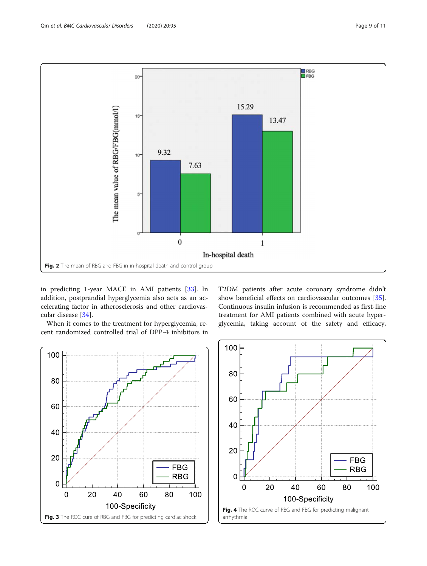<span id="page-8-0"></span>

in predicting 1-year MACE in AMI patients [\[33\]](#page-10-0). In addition, postprandial hyperglycemia also acts as an accelerating factor in atherosclerosis and other cardiovascular disease [[34](#page-10-0)].

When it comes to the treatment for hyperglycemia, recent randomized controlled trial of DPP-4 inhibitors in T2DM patients after acute coronary syndrome didn't show beneficial effects on cardiovascular outcomes [\[35](#page-10-0)]. Continuous insulin infusion is recommended as first-line treatment for AMI patients combined with acute hyperglycemia, taking account of the safety and efficacy,



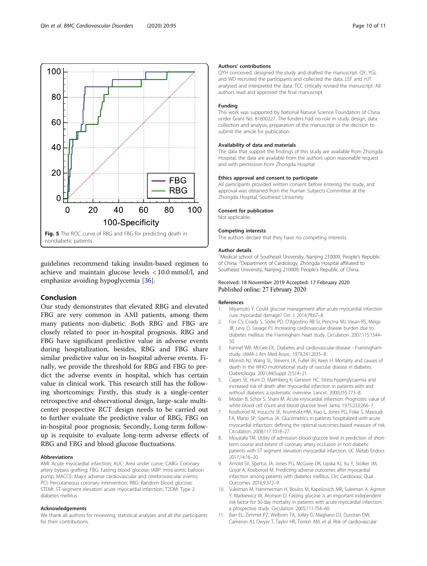<span id="page-9-0"></span>

guidelines recommend taking insulin-based regimen to achieve and maintain glucose levels < 10.0 mmol/l, and emphasize avoiding hypoglycemia [\[36](#page-10-0)].

#### Conclusion

Our study demonstrates that elevated RBG and elevated FBG are very common in AMI patients, among them many patients non-diabetic. Both RBG and FBG are closely related to poor in-hospital prognosis. RBG and FBG have significant predictive value in adverse events during hospitalization, besides, RBG and FBG share similar predictive value on in-hospital adverse events. Finally, we provide the threshold for RBG and FBG to predict the adverse events in hospital, which has certain value in clinical work. This research still has the following shortcomings: Firstly, this study is a single-center retrospective and observational design, large-scale multicenter prospective RCT design needs to be carried out to further evaluate the predictive value of RBG, FBG on in-hospital poor prognosis; Secondly, Long-term followup is requisite to evaluate long-term adverse effects of RBG and FBG and blood glucose fluctuations.

#### Abbreviations

AMI: Acute myocardial infarction; AUC: Area under curve; CABG: Coronary artery bypass grafting; FBG: Fasting blood glucose; IABP: Intra-aortic balloon pump; MACCE: Major adverse cardiovascular and cerebrovascular events; PCI: Percutaneous coronary intervention; RBG: Random blood glucose; STEMI: ST-segment elevation acute myocardial infarction; T2DM: Type 2 diabetes mellitus

#### Acknowledgements

We thank all authors for reviewing, statistical analyses and all the participants for their contributions.

#### Authors' contributions

QYH conceived, designed the study and drafted the manuscript. QY, YGL and WD recruited the participants and collected the data. LEF and HJT analysed and interpreted the data. TCC critically revised the manuscript. All authors read and approved the final manuscript.

#### Funding

This work was supported by National Natural Science Foundation of China under Grant No. 81600227. The funders had no role in study design, data collection and analysis, preparation of the manuscript or the decision to submit the article for publication.

#### Availability of data and materials

The data that support the findings of this study are available from Zhongda Hospital, the data are available from the authors upon reasonable request and with permission from Zhongda Hospital.

#### Ethics approval and consent to participate

All participants provided written consent before entering the study, and approval was obtained from the Human Subjects Committee at the Zhongda Hospital, Southeast University.

#### Consent for publication

Not applicable.

#### Competing interests

The authors declare that they have no competing interests.

#### Author details

<sup>1</sup>Medical school of Southeast University, Nanjing 210009, People's Republic of China. <sup>2</sup>Department of Cardiology, Zhongda Hospital affiliated to Southeast University, Nanjing 210009, People's Republic of China.

# Received: 18 November 2019 Accepted: 17 February 2020

#### References

- 1. Miyamoto Y. Could glucose management after acute myocardial infarction cure myocardial damage? Circ J. 2014;78:67–8.
- 2. Fox CS, Coady S, Sorlie PD, D'Agostino RB Sr, Pencina MJ, Vasan RS, Meigs JB, Levy D, Savage PJ. Increasing cardiovascular disease burden due to diabetes mellitus: the Framingham heart study. Circulation. 2007;115:1544– 50.
- 3. Kannel WB, McGee DL. Diabetes and cardiovascular-disease Framinghamstudy. JAMA-J Am Med Assoc. 1979;241:2035–8.
- 4. Morrish NJ, Wang SL, Stevens LK, Fuller JH, Keen H. Mortality and causes of death in the WHO multinational study of vascular disease in diabetes. Diabetologia. 2001;44(Suppl 2):S14–21.
- 5. Capes SE, Hunt D, Malmberg K, Gerstein HC. Stress hyperglycaemia and increased risk of death after myocardial infarction in patients with and without diabetes: a systematic overview. Lancet. 2000;355:773–8.
- 6. Modan B, Schor S, Shani M. Acute myocardial infarction. Prognostic value of white blood cell count and blood glucose level. Jama. 1975;233:266–7.
- 7. Kosiborod M, Inzucchi SE, Krumholz HM, Xiao L, Jones PG, Fiske S, Masoudi FA, Marso SP, Spertus JA. Glucometrics in patients hospitalized with acute myocardial infarction: defining the optimal outcomes-based measure of risk. Circulation. 2008;117:1018–27.
- 8. Moustafa TM. Utility of admission blood glucose level in prediction of shortterm course and extent of coronary artery occlusion in non-diabetic patients with ST segment elevation myocardial infarction. IJC Metab Endocr. 2017;14:16–20.
- 9. Arnold SV, Spertus JA, Jones PG, McGuire DK, Lipska KJ, Xu Y, Stolker JM, Goyal A, Kosiborod M. Predicting adverse outcomes after myocardial infarction among patients with diabetes mellitus. Circ Cardiovasc Qual Outcomes. 2016;9:372–9.
- 10. Suleiman M, Hammerman H, Boulos M, Kapeliovich MR, Suleiman A, Agmon Y, Markiewicz W, Aronson D. Fasting glucose is an important independent risk factor for 30-day mortality in patients with acute myocardial infarction: a prospective study. Circulation. 2005;111:754–60.
- 11. Barr EL, Zimmet PZ, Welborn TA, Jolley D, Magliano DJ, Dunstan DW, Cameron AJ, Dwyer T, Taylor HR, Tonkin AM, et al. Risk of cardiovascular